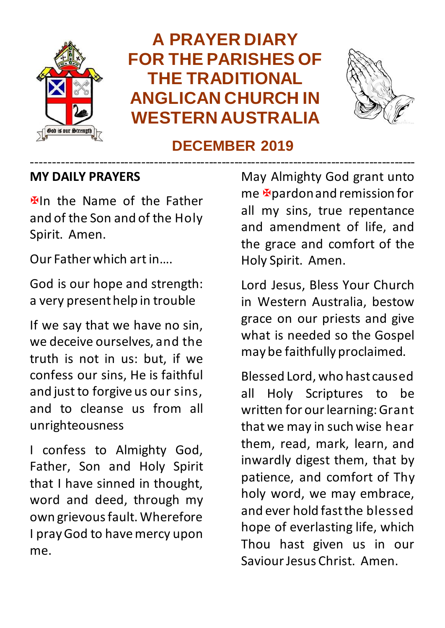

## **A PRAYER DIARY FOR THE PARISHES OF THE TRADITIONAL ANGLICAN CHURCH IN WESTERN AUSTRALIA**



#### **DECEMBER 2019**

#### ------------------------------------------------------------------------------------------- **MY DAILY PRAYERS**

**Etch** the Name of the Father and of the Son and of the Holy Spirit. Amen.

Our Father which art in….

God is our hope and strength: a very present help in trouble

If we say that we have no sin, we deceive ourselves, and the truth is not in us: but, if we confess our sins, He is faithful and just to forgive us our sins, and to cleanse us from all unrighteousness

I confess to Almighty God, Father, Son and Holy Spirit that I have sinned in thought, word and deed, through my own grievous fault. Wherefore I pray God to have mercy upon me.

May Almighty God grant unto  $me$  **E** pardon and remission for all my sins, true repentance and amendment of life, and the grace and comfort of the Holy Spirit. Amen.

Lord Jesus, Bless Your Church in Western Australia, bestow grace on our priests and give what is needed so the Gospel may be faithfully proclaimed.

Blessed Lord, who hast caused all Holy Scriptures to be written for our learning: Grant that we may in such wise hear them, read, mark, learn, and inwardly digest them, that by patience, and comfort of Thy holy word, we may embrace, and ever hold fast the blessed hope of everlasting life, which Thou hast given us in our Saviour Jesus Christ. Amen.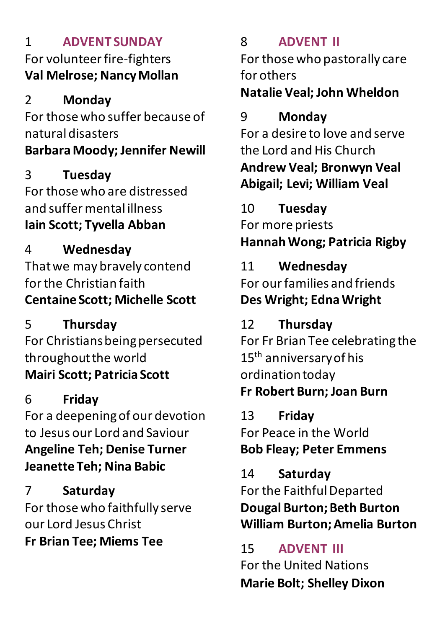#### 1 **ADVENT SUNDAY** For volunteer fire-fighters **Val Melrose; Nancy Mollan**

#### 2 **Monday**

For those who suffer because of natural disasters **Barbara Moody; Jennifer Newill**

#### 3 **Tuesday** For those who are distressed and suffer mental illness **Iain Scott; Tyvella Abban**

4 **Wednesday** That we may bravely contend for the Christian faith **Centaine Scott; Michelle Scott**

5 **Thursday** For Christians being persecuted throughout the world **Mairi Scott; Patricia Scott**

#### 6 **Friday** For a deepening of our devotion to Jesus our Lord and Saviour **Angeline Teh; Denise Turner Jeanette Teh; Nina Babic**

7 **Saturday** For those who faithfully serve our Lord Jesus Christ **Fr Brian Tee; Miems Tee**

## 8 **ADVENT II**

For those who pastorally care for others

## **Natalie Veal; John Wheldon**

## 9 **Monday**

For a desire to love and serve the Lord and His Church **Andrew Veal; Bronwyn Veal Abigail; Levi; William Veal**

10 **Tuesday** For more priests **Hannah Wong; Patricia Rigby**

## 11 **Wednesday**

For our families and friends **Des Wright; Edna Wright**

## 12 **Thursday**

For Fr Brian Tee celebrating the 15<sup>th</sup> anniversary of his ordination today

## **Fr Robert Burn; Joan Burn**

13 **Friday** For Peace in the World **Bob Fleay; Peter Emmens**

14 **Saturday** For the Faithful Departed **Dougal Burton; Beth Burton William Burton; Amelia Burton**

15 **ADVENT III** For the United Nations **Marie Bolt; Shelley Dixon**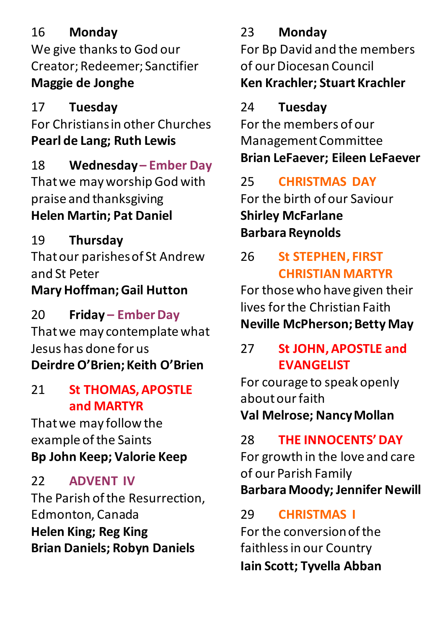#### 16 **Monday**

We give thanks to God our Creator; Redeemer; Sanctifier **Maggie de Jonghe**

## 17 **Tuesday**

For Christians in other Churches **Pearl de Lang; Ruth Lewis**

## 18 **Wednesday – Ember Day**

That we may worship God with praise and thanksgiving **Helen Martin; Pat Daniel**

## 19 **Thursday**

That our parishes of St Andrew and St Peter **Mary Hoffman; Gail Hutton**

20 **Friday – Ember Day** That we may contemplate what Jesus has done for us **Deirdre O'Brien; Keith O'Brien**

#### 21 **St THOMAS, APOSTLE and MARTYR**

That we may follow the example of the Saints **Bp John Keep; Valorie Keep**

## 22 **ADVENT IV**

The Parish of the Resurrection, Edmonton, Canada **Helen King; Reg King Brian Daniels; Robyn Daniels**

## 23 **Monday**

For Bp David and the members of our Diocesan Council **Ken Krachler; Stuart Krachler**

## 24 **Tuesday**

For the members of our Management Committee **Brian LeFaever; Eileen LeFaever**

## 25 **CHRISTMAS DAY**

For the birth of our Saviour **Shirley McFarlane Barbara Reynolds**

#### 26 **St STEPHEN, FIRST CHRISTIAN MARTYR**

For those who have given their lives for the Christian Faith **Neville McPherson; Betty May**

#### 27 **St JOHN, APOSTLE and EVANGELIST**

For courage to speak openly about our faith **Val Melrose; Nancy Mollan**

## 28 **THE INNOCENTS' DAY**

For growth in the love and care of our Parish Family **Barbara Moody; Jennifer Newill**

## 29 **CHRISTMAS I**

For the conversion of the faithless in our Country **Iain Scott; Tyvella Abban**